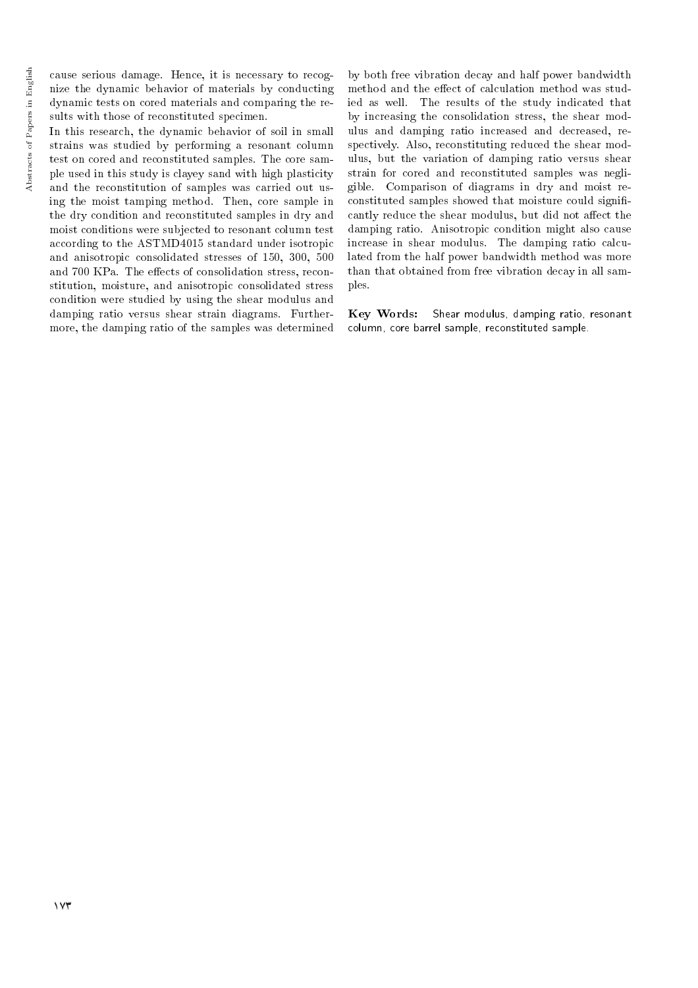cause serious damage. Hence, it is necessary to recognize the dynamic behavior of materials by conducting dynamic tests on cored materials and comparing the results with those of reconstituted specimen.

In this research, the dynamic behavior of soil in small strains was studied by performing a resonant column test on cored and reconstituted samples. The core sample used in this study is clayey sand with high plasticity and the reconstitution of samples was carried out using the moist tamping method. Then, core sample in the dry condition and reconstituted samples in dry and moist conditions were subjected to resonant column test according to the ASTMD4015 standard under isotropic and anisotropic consolidated stresses of 150, 300, 500 and 700 KPa. The effects of consolidation stress, reconstitution, moisture, and anisotropic consolidated stress condition were studied by using the shear modulus and damping ratio versus shear strain diagrams. Furthermore, the damping ratio of the samples was determined

by both free vibration decay and half power bandwidth method and the effect of calculation method was studied as well. The results of the study indicated that by increasing the consolidation stress, the shear modulus and damping ratio increased and decreased, respectively. Also, reconstituting reduced the shear modulus, but the variation of damping ratio versus shear strain for cored and reconstituted samples was negligible. Comparison of diagrams in dry and moist reconstituted samples showed that moisture could signi cantly reduce the shear modulus, but did not affect the damping ratio. Anisotropic condition might also cause increase in shear modulus. The damping ratio calculated from the half power bandwidth method was more than that obtained from free vibration decay in all samples.

Key Words: Shear modulus, damping ratio, resonant column, core barrel sample, reconstituted sample.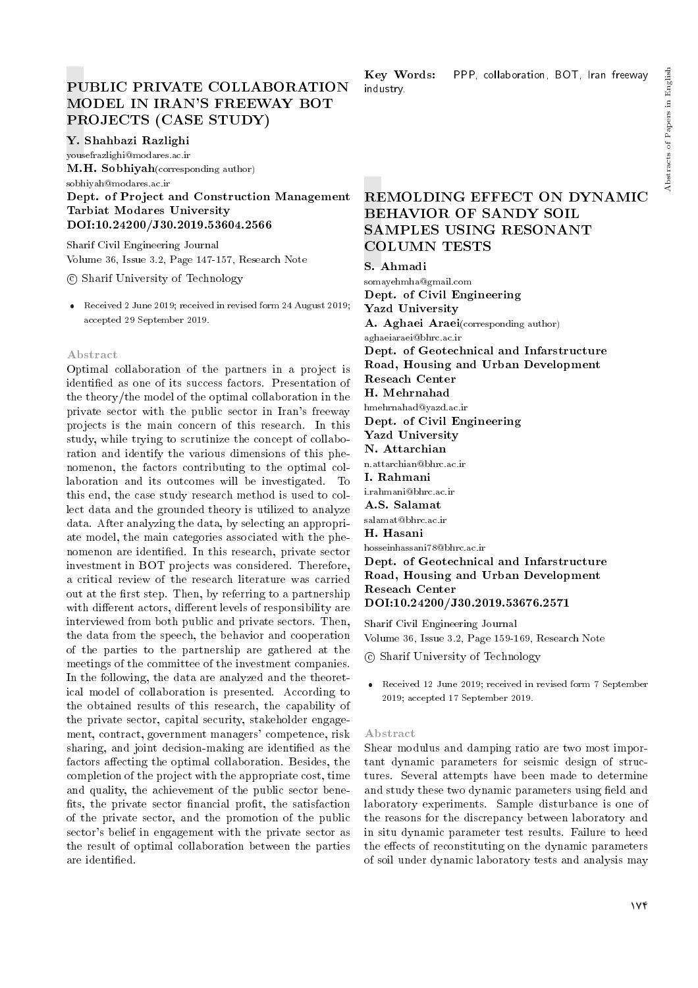# PUBLIC PRIVATE COLLABORATION MODEL IN IRAN'S FREEWAY BOT PROJECTS (CASE STUDY)

## Y. Shahbazi Razlighi

yousefrazlighi@modares.ac.ir

M.H. Sobhiyah (corresponding author)

sobhiyah@modares.ac.ir

## Dept. of Project and Construction Management Tarbiat Modares University DOI:10.24200/J30.2019.53604.2566

Sharif Civil Engineering Journal Volume 36, Issue 3.2, Page 147-157, Research Note

c Sharif University of Technology

 Received 2 June 2019; received in revised form 24 August 2019; accepted 29 September 2019.

## Abstract

Optimal collaboration of the partners in a project is identied as one of its success factors. Presentation of the theory/the model of the optimal collaboration in the private sector with the public sector in Iran's freeway projects is the main concern of this research. In this study, while trying to scrutinize the concept of collaboration and identify the various dimensions of this phenomenon, the factors contributing to the optimal collaboration and its outcomes will be investigated. To this end, the case study research method is used to collect data and the grounded theory is utilized to analyze data. After analyzing the data, by selecting an appropriate model, the main categories associated with the phenomenon are identied. In this research, private sector investment in BOT projects was considered. Therefore, a critical review of the research literature was carried out at the first step. Then, by referring to a partnership with different actors, different levels of responsibility are interviewed from both public and private sectors. Then, the data from the speech, the behavior and cooperation of the parties to the partnership are gathered at the meetings of the committee of the investment companies. In the following, the data are analyzed and the theoretical model of collaboration is presented. According to the obtained results of this research, the capability of the private sector, capital security, stakeholder engagement, contract, government managers' competence, risk sharing, and joint decision-making are identied as the factors affecting the optimal collaboration. Besides, the completion of the project with the appropriate cost, time and quality, the achievement of the public sector bene fits, the private sector financial profit, the satisfaction of the private sector, and the promotion of the public sector's belief in engagement with the private sector as the result of optimal collaboration between the parties are identied.

Key Words: PPP, collaboration, BOT, Iran freeway industry.

# REMOLDING EFFECT ON DYNAMIC BEHAVIOR OF SANDY SOIL SAMPLES USING RESONANT COLUMN TESTS

S. Ahmadi

somayehmha@gmail.com Dept. of Civil Engineering Yazd University A. Aghaei Araei(corresponding author) aghaeiaraei@bhrc.ac.ir Dept. of Geotechnical and Infarstructure Road, Housing and Urban Development Reseach Center H. Mehrnahad hmehrnahad@yazd.ac.ir Dept. of Civil Engineering Yazd University N. Attarchian n.attarchian@bhrc.ac.ir I. Rahmani i.rahmani@bhrc.ac.ir A.S. Salamat salamat@bhrc.ac.ir H. Hasani hosseinhassani78@bhrc.ac.ir Dept. of Geotechnical and Infarstructure Road, Housing and Urban Development Reseach Center

DOI:10.24200/J30.2019.53676.2571

Sharif Civil Engineering Journal Volume 36, Issue 3.2, Page 159-169, Research Note

c Sharif University of Technology

 Received 12 June 2019; received in revised form 7 September 2019; accepted 17 September 2019.

## Abstract

Shear modulus and damping ratio are two most important dynamic parameters for seismic design of structures. Several attempts have been made to determine and study these two dynamic parameters using field and laboratory experiments. Sample disturbance is one of the reasons for the discrepancy between laboratory and in situ dynamic parameter test results. Failure to heed the effects of reconstituting on the dynamic parameters of soil under dynamic laboratory tests and analysis may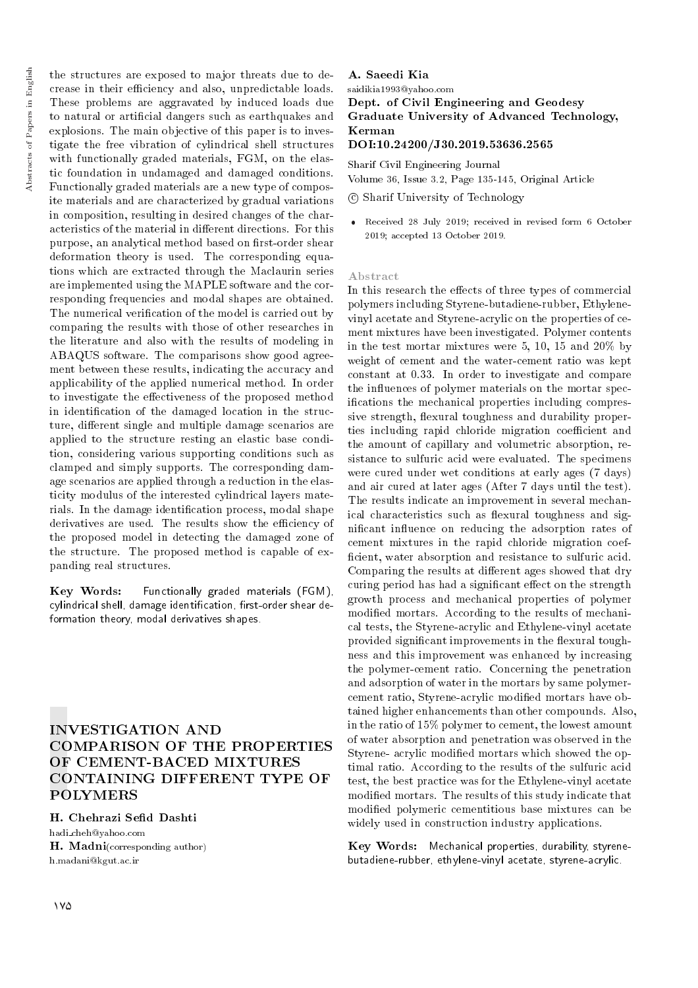the structures are exposed to major threats due to decrease in their efficiency and also, unpredictable loads. These problems are aggravated by induced loads due to natural or articial dangers such as earthquakes and explosions. The main objective of this paper is to investigate the free vibration of cylindrical shell structures with functionally graded materials, FGM, on the elastic foundation in undamaged and damaged conditions. Functionally graded materials are a new type of composite materials and are characterized by gradual variations in composition, resulting in desired changes of the characteristics of the material in different directions. For this purpose, an analytical method based on first-order shear deformation theory is used. The corresponding equations which are extracted through the Maclaurin series are implemented using the MAPLE software and the corresponding frequencies and modal shapes are obtained. The numerical verification of the model is carried out by comparing the results with those of other researches in the literature and also with the results of modeling in ABAQUS software. The comparisons show good agreement between these results, indicating the accuracy and applicability of the applied numerical method. In order to investigate the effectiveness of the proposed method in identication of the damaged location in the structure, different single and multiple damage scenarios are applied to the structure resting an elastic base condition, considering various supporting conditions such as clamped and simply supports. The corresponding damage scenarios are applied through a reduction in the elasticity modulus of the interested cylindrical layers materials. In the damage identification process, modal shape derivatives are used. The results show the efficiency of the proposed model in detecting the damaged zone of the structure. The proposed method is capable of expanding real structures.

Key Words: Functionally graded materials (FGM), cylindrical shell, damage identification, first-order shear deformation theory, modal derivatives shapes.

# INVESTIGATION AND COMPARISON OF THE PROPERTIES OF CEMENT-BACED MIXTURES CONTAINING DIFFERENT TYPE OF POLYMERS

## H. Chehrazi Sefid Dashti

hadi cheh@yahoo.com H. Madni(corresponding author) h.madani@kgut.ac.ir

## A. Saeedi Kia

saidikia1993@yahoo.com Dept. of Civil Engineering and Geodesy Graduate University of Advanced Technology, Kerman

## DOI:10.24200/J30.2019.53636.2565

Sharif Civil Engineering Journal Volume 36, Issue 3.2, Page 135-145, Original Article

c Sharif University of Technology

 Received 28 July 2019; received in revised form 6 October 2019; accepted 13 October 2019.

#### Abstract

In this research the effects of three types of commercial polymers including Styrene-butadiene-rubber, Ethylenevinyl acetate and Styrene-acrylic on the properties of cement mixtures have been investigated. Polymer contents in the test mortar mixtures were 5, 10, 15 and 20% by weight of cement and the water-cement ratio was kept constant at 0.33. In order to investigate and compare the influences of polymer materials on the mortar specications the mechanical properties including compressive strength, flexural toughness and durability properties including rapid chloride migration coefficient and the amount of capillary and volumetric absorption, resistance to sulfuric acid were evaluated. The specimens were cured under wet conditions at early ages (7 days) and air cured at later ages (After 7 days until the test). The results indicate an improvement in several mechanical characteristics such as flexural toughness and signicant in
uence on reducing the adsorption rates of cement mixtures in the rapid chloride migration coef ficient, water absorption and resistance to sulfuric acid. Comparing the results at different ages showed that dry curing period has had a significant effect on the strength growth process and mechanical properties of polymer modied mortars. According to the results of mechanical tests, the Styrene-acrylic and Ethylene-vinyl acetate provided significant improvements in the flexural toughness and this improvement was enhanced by increasing the polymer-cement ratio. Concerning the penetration and adsorption of water in the mortars by same polymercement ratio, Styrene-acrylic modied mortars have obtained higher enhancements than other compounds. Also, in the ratio of 15% polymer to cement, the lowest amount of water absorption and penetration was observed in the Styrene- acrylic modied mortars which showed the optimal ratio. According to the results of the sulfuric acid test, the best practice was for the Ethylene-vinyl acetate modied mortars. The results of this study indicate that modied polymeric cementitious base mixtures can be widely used in construction industry applications.

Key Words: Mechanical properties, durability, styrenebutadiene-rubber, ethylene-vinyl acetate, styrene-acrylic.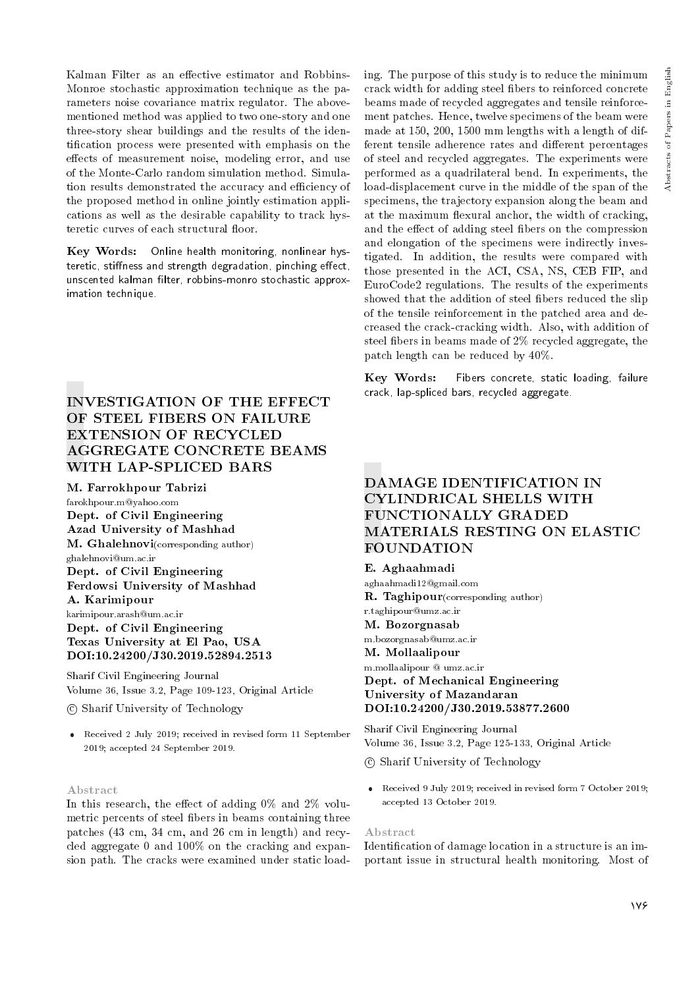Kalman Filter as an effective estimator and Robbins-Monroe stochastic approximation technique as the parameters noise covariance matrix regulator. The abovementioned method was applied to two one-story and one three-story shear buildings and the results of the identication process were presented with emphasis on the effects of measurement noise, modeling error, and use of the Monte-Carlo random simulation method. Simulation results demonstrated the accuracy and efficiency of the proposed method in online jointly estimation applications as well as the desirable capability to track hysteretic curves of each structural floor.

Key Words: Online health monitoring, nonlinear hysteretic, stiffness and strength degradation, pinching effect, unscented kalman filter, robbins-monro stochastic approximation technique.

# INVESTIGATION OF THE EFFECT OF STEEL FIBERS ON FAILURE EXTENSION OF RECYCLED AGGREGATE CONCRETE BEAMS WITH LAP-SPLICED BARS

#### M. Farrokhpour Tabrizi

farokhpour.m@yahoo.com Dept. of Civil Engineering Azad University of Mashhad M. Ghalehnovi(corresponding author) ghalehnovi@um.ac.ir Dept. of Civil Engineering Ferdowsi University of Mashhad A. Karimipour karimipour.arash@um.ac.ir Dept. of Civil Engineering Texas University at El Pao, USA

DOI:10.24200/J30.2019.52894.2513

Sharif Civil Engineering Journal Volume 36, Issue 3.2, Page 109-123, Original Article

c Sharif University of Technology

 Received 2 July 2019; received in revised form 11 September 2019; accepted 24 September 2019.

#### Abstract

In this research, the effect of adding  $0\%$  and  $2\%$  volumetric percents of steel fibers in beams containing three patches (43 cm, 34 cm, and 26 cm in length) and recycled aggregate 0 and 100% on the cracking and expansion path. The cracks were examined under static loading. The purpose of this study is to reduce the minimum crack width for adding steel bers to reinforced concrete beams made of recycled aggregates and tensile reinforcement patches. Hence, twelve specimens of the beam were made at 150, 200, 1500 mm lengths with a length of different tensile adherence rates and different percentages of steel and recycled aggregates. The experiments were performed as a quadrilateral bend. In experiments, the load-displacement curve in the middle of the span of the specimens, the trajectory expansion along the beam and at the maximum flexural anchor, the width of cracking, and the effect of adding steel fibers on the compression and elongation of the specimens were indirectly investigated. In addition, the results were compared with those presented in the ACI, CSA, NS, CEB FIP, and EuroCode2 regulations. The results of the experiments showed that the addition of steel fibers reduced the slip of the tensile reinforcement in the patched area and decreased the crack-cracking width. Also, with addition of steel fibers in beams made of 2% recycled aggregate, the patch length can be reduced by 40%.

Key Words: Fibers concrete, static loading, failure crack, lap-spliced bars, recycled aggregate.

# DAMAGE IDENTIFICATION IN CYLINDRICAL SHELLS WITH FUNCTIONALLY GRADED MATERIALS RESTING ON ELASTIC FOUNDATION

E. Aghaahmadi aghaahmadi12@gmail.com R. Taghipour(corresponding author) r.taghipour@umz.ac.ir M. Bozorgnasab m.bozorgnasab@umz.ac.ir M. Mollaalipour m.mollaalipour @ umz.ac.ir Dept. of Mechanical Engineering University of Mazandaran DOI:10.24200/J30.2019.53877.2600

Sharif Civil Engineering Journal Volume 36, Issue 3.2, Page 125-133, Original Article

c Sharif University of Technology

 Received 9 July 2019; received in revised form 7 October 2019; accepted 13 October 2019.

#### Abstract

Identication of damage location in a structure is an important issue in structural health monitoring. Most of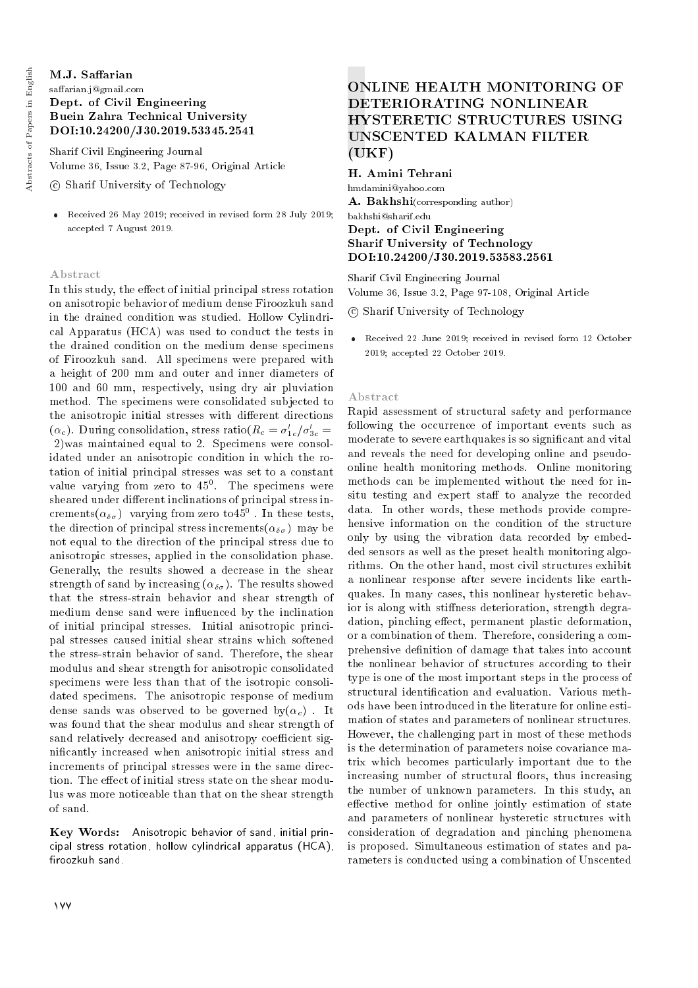## M.J. Saffarian saffarian.j@gmail.com Dept. of Civil Engineering

# Buein Zahra Technical University DOI:10.24200/J30.2019.53345.2541

Sharif Civil Engineering Journal Volume 36, Issue 3.2, Page 87-96, Original Article

c Sharif University of Technology

 Received 26 May 2019; received in revised form 28 July 2019; accepted 7 August 2019.

## Abstract

In this study, the effect of initial principal stress rotation on anisotropic behavior of medium dense Firoozkuh sand in the drained condition was studied. Hollow Cylindrical Apparatus (HCA) was used to conduct the tests in the drained condition on the medium dense specimens of Firoozkuh sand. All specimens were prepared with a height of 200 mm and outer and inner diameters of 100 and 60 mm, respectively, using dry air pluviation method. The specimens were consolidated subjected to the anisotropic initial stresses with different directions  $(\alpha_c)$ . During consolidation, stress ratio $(R_c = \sigma'_{1c}/\sigma'_{3c} =$ 2)was maintained equal to 2. Specimens were consolidated under an anisotropic condition in which the rotation of initial principal stresses was set to a constant value varying from zero to  $45^0$ . The specimens were sheared under different inclinations of principal stress increments $(\alpha_{\delta\sigma})$  varying from zero to $45^0$  . In these tests, the direction of principal stress increments( $\alpha_{\delta\sigma}$ ) may be not equal to the direction of the principal stress due to anisotropic stresses, applied in the consolidation phase. Generally, the results showed a decrease in the shear strength of sand by increasing  $(\alpha_{\delta\sigma})$ . The results showed that the stress-strain behavior and shear strength of medium dense sand were influenced by the inclination of initial principal stresses. Initial anisotropic principal stresses caused initial shear strains which softened the stress-strain behavior of sand. Therefore, the shear modulus and shear strength for anisotropic consolidated specimens were less than that of the isotropic consolidated specimens. The anisotropic response of medium dense sands was observed to be governed by $(\alpha_c)$ . It was found that the shear modulus and shear strength of sand relatively decreased and anisotropy coefficient signicantly increased when anisotropic initial stress and increments of principal stresses were in the same direction. The effect of initial stress state on the shear modulus was more noticeable than that on the shear strength of sand.

Key Words: Anisotropic behavior of sand, initial principal stress rotation, hollow cylindrical apparatus (HCA), firoozkuh sand.

# ONLINE HEALTH MONITORING OF DETERIORATING NONLINEAR HYSTERETIC STRUCTURES USING UNSCENTED KALMAN FILTER (UKF)

H. Amini Tehrani hmdamini@yahoo.com A. Bakhshi(corresponding author) bakhshi@sharif.edu Dept. of Civil Engineering Sharif University of Technology DOI:10.24200/J30.2019.53583.2561

Sharif Civil Engineering Journal Volume 36, Issue 3.2, Page 97-108, Original Article

c Sharif University of Technology

 Received 22 June 2019; received in revised form 12 October 2019; accepted 22 October 2019.

#### Abstract

Rapid assessment of structural safety and performance following the occurrence of important events such as moderate to severe earthquakes is so signicant and vital and reveals the need for developing online and pseudoonline health monitoring methods. Online monitoring methods can be implemented without the need for insitu testing and expert staff to analyze the recorded data. In other words, these methods provide comprehensive information on the condition of the structure only by using the vibration data recorded by embedded sensors as well as the preset health monitoring algorithms. On the other hand, most civil structures exhibit a nonlinear response after severe incidents like earthquakes. In many cases, this nonlinear hysteretic behavior is along with stiffness deterioration, strength degradation, pinching effect, permanent plastic deformation, or a combination of them. Therefore, considering a comprehensive definition of damage that takes into account the nonlinear behavior of structures according to their type is one of the most important steps in the process of structural identication and evaluation. Various methods have been introduced in the literature for online estimation of states and parameters of nonlinear structures. However, the challenging part in most of these methods is the determination of parameters noise covariance matrix which becomes particularly important due to the increasing number of structural floors, thus increasing the number of unknown parameters. In this study, an effective method for online jointly estimation of state and parameters of nonlinear hysteretic structures with consideration of degradation and pinching phenomena is proposed. Simultaneous estimation of states and parameters is conducted using a combination of Unscented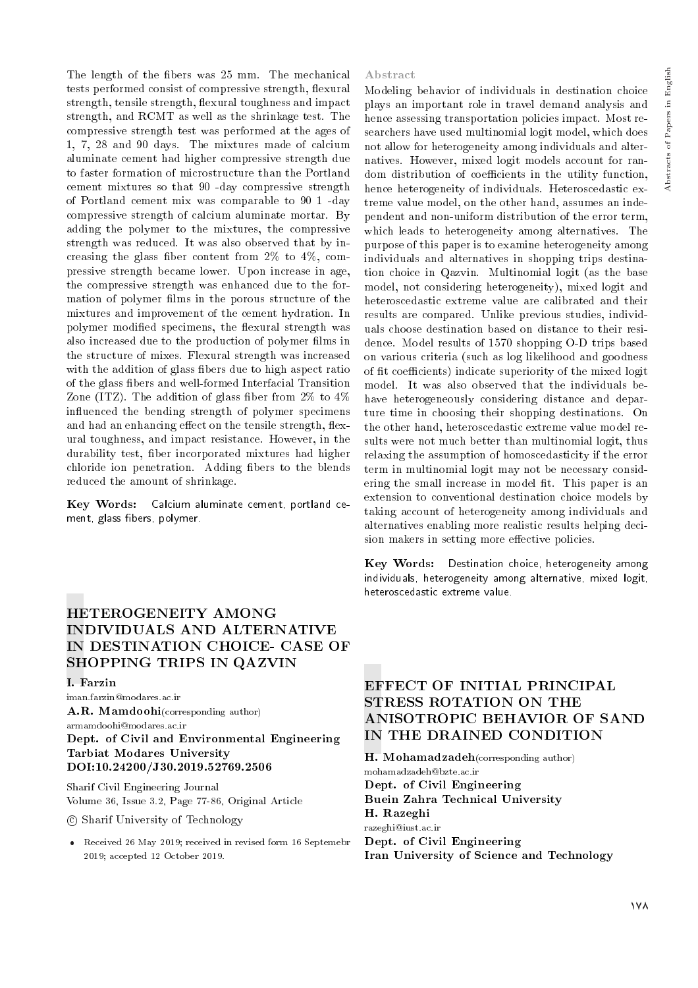The length of the fibers was 25 mm. The mechanical tests performed consist of compressive strength, flexural strength, tensile strength, flexural toughness and impact strength, and RCMT as well as the shrinkage test. The compressive strength test was performed at the ages of 1, 7, 28 and 90 days. The mixtures made of calcium aluminate cement had higher compressive strength due to faster formation of microstructure than the Portland cement mixtures so that 90 -day compressive strength of Portland cement mix was comparable to 90 1 -day compressive strength of calcium aluminate mortar. By adding the polymer to the mixtures, the compressive strength was reduced. It was also observed that by increasing the glass fiber content from  $2\%$  to  $4\%$ , compressive strength became lower. Upon increase in age, the compressive strength was enhanced due to the formation of polymer films in the porous structure of the mixtures and improvement of the cement hydration. In polymer modified specimens, the flexural strength was also increased due to the production of polymer films in the structure of mixes. Flexural strength was increased with the addition of glass fibers due to high aspect ratio of the glass bers and well-formed Interfacial Transition Zone (ITZ). The addition of glass fiber from  $2\%$  to  $4\%$ in
uenced the bending strength of polymer specimens and had an enhancing effect on the tensile strength, flexural toughness, and impact resistance. However, in the durability test, ber incorporated mixtures had higher chloride ion penetration. Adding fibers to the blends reduced the amount of shrinkage.

Key Words: Calcium aluminate cement, portland cement, glass fibers, polymer.

# HETEROGENEITY AMONG INDIVIDUALS AND ALTERNATIVE IN DESTINATION CHOICE- CASE OF SHOPPING TRIPS IN QAZVIN

#### I. Farzin

iman.farzin@modares.ac.ir A.R. Mamdoohi(corresponding author)

armamdoohi@modares.ac.ir Dept. of Civil and Environmental Engineering Tarbiat Modares University DOI:10.24200/J30.2019.52769.2506

Sharif Civil Engineering Journal Volume 36, Issue 3.2, Page 77-86, Original Article

c Sharif University of Technology

 Received 26 May 2019; received in revised form 16 Septemebr 2019; accepted 12 October 2019.

#### Abstract

Modeling behavior of individuals in destination choice plays an important role in travel demand analysis and hence assessing transportation policies impact. Most researchers have used multinomial logit model, which does not allow for heterogeneity among individuals and alternatives. However, mixed logit models account for random distribution of coefficients in the utility function, hence heterogeneity of individuals. Heteroscedastic extreme value model, on the other hand, assumes an independent and non-uniform distribution of the error term, which leads to heterogeneity among alternatives. The purpose of this paper is to examine heterogeneity among individuals and alternatives in shopping trips destination choice in Qazvin. Multinomial logit (as the base model, not considering heterogeneity), mixed logit and heteroscedastic extreme value are calibrated and their results are compared. Unlike previous studies, individuals choose destination based on distance to their residence. Model results of 1570 shopping O-D trips based on various criteria (such as log likelihood and goodness of fit coefficients) indicate superiority of the mixed logit model. It was also observed that the individuals behave heterogeneously considering distance and departure time in choosing their shopping destinations. On the other hand, heteroscedastic extreme value model results were not much better than multinomial logit, thus relaxing the assumption of homoscedasticity if the error term in multinomial logit may not be necessary considering the small increase in model fit. This paper is an extension to conventional destination choice models by taking account of heterogeneity among individuals and alternatives enabling more realistic results helping decision makers in setting more effective policies.

Key Words: Destination choice, heterogeneity among individuals, heterogeneity among alternative, mixed logit, heteroscedastic extreme value.

# EFFECT OF INITIAL PRINCIPAL STRESS ROTATION ON THE ANISOTROPIC BEHAVIOR OF SAND IN THE DRAINED CONDITION

H. Mohamadzadeh(corresponding author) mohamadzadeh@bzte.ac.ir Dept. of Civil Engineering Buein Zahra Technical University H. Razeghi razeghi@iust.ac.ir Dept. of Civil Engineering Iran University of Science and Technology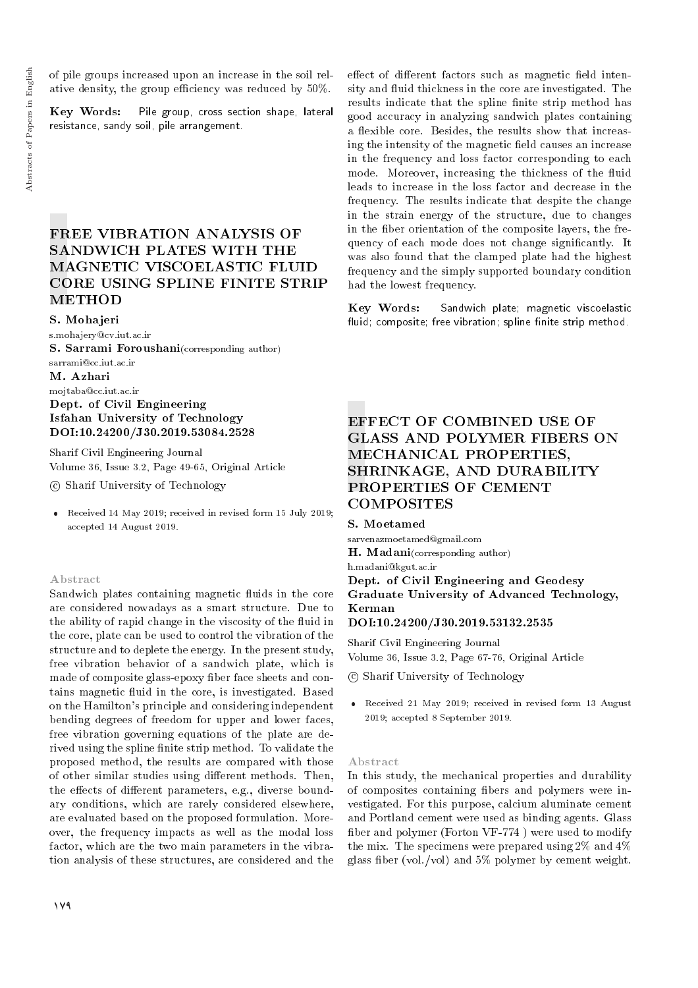of pile groups increased upon an increase in the soil relative density, the group efficiency was reduced by  $50\%$ .

Key Words: Pile group, cross section shape, lateral resistance, sandy soil, pile arrangement.

# FREE VIBRATION ANALYSIS OF SANDWICH PLATES WITH THE MAGNETIC VISCOELASTIC FLUID CORE USING SPLINE FINITE STRIP METHOD

S. Mohajeri

s.mohajery@cv.iut.ac.ir S. Sarrami Foroushani(corresponding author)

sarrami@cc.iut.ac.ir

M. Azhari

## mojtaba@cc.iut.ac.ir Dept. of Civil Engineering Isfahan University of Technology DOI:10.24200/J30.2019.53084.2528

Sharif Civil Engineering Journal Volume 36, Issue 3.2, Page 49-65, Original Article

c Sharif University of Technology

 Received 14 May 2019; received in revised form 15 July 2019; accepted 14 August 2019.

## Abstract

Sandwich plates containing magnetic fluids in the core are considered nowadays as a smart structure. Due to the ability of rapid change in the viscosity of the fluid in the core, plate can be used to control the vibration of the structure and to deplete the energy. In the present study, free vibration behavior of a sandwich plate, which is made of composite glass-epoxy fiber face sheets and contains magnetic fluid in the core, is investigated. Based on the Hamilton's principle and considering independent bending degrees of freedom for upper and lower faces, free vibration governing equations of the plate are derived using the spline finite strip method. To validate the proposed method, the results are compared with those of other similar studies using different methods. Then, the effects of different parameters, e.g., diverse boundary conditions, which are rarely considered elsewhere, are evaluated based on the proposed formulation. Moreover, the frequency impacts as well as the modal loss factor, which are the two main parameters in the vibration analysis of these structures, are considered and the

effect of different factors such as magnetic field intensity and fluid thickness in the core are investigated. The results indicate that the spline finite strip method has good accuracy in analyzing sandwich plates containing a flexible core. Besides, the results show that increasing the intensity of the magnetic field causes an increase in the frequency and loss factor corresponding to each mode. Moreover, increasing the thickness of the fluid leads to increase in the loss factor and decrease in the frequency. The results indicate that despite the change in the strain energy of the structure, due to changes in the fiber orientation of the composite layers, the frequency of each mode does not change signicantly. It was also found that the clamped plate had the highest frequency and the simply supported boundary condition had the lowest frequency.

Key Words: Sandwich plate; magnetic viscoelastic fluid; composite; free vibration; spline finite strip method.

# EFFECT OF COMBINED USE OF GLASS AND POLYMER FIBERS ON MECHANICAL PROPERTIES, SHRINKAGE, AND DURABILITY PROPERTIES OF CEMENT COMPOSITES

S. Moetamed

sarvenazmoetamed@gmail.com H. Madani(corresponding author)

h.madani@kgut.ac.ir Dept. of Civil Engineering and Geodesy Graduate University of Advanced Technology, Kerman

DOI:10.24200/J30.2019.53132.2535

Sharif Civil Engineering Journal Volume 36, Issue 3.2, Page 67-76, Original Article

c Sharif University of Technology

 Received 21 May 2019; received in revised form 13 August 2019; accepted 8 September 2019.

## Abstract

In this study, the mechanical properties and durability of composites containing bers and polymers were investigated. For this purpose, calcium aluminate cement and Portland cement were used as binding agents. Glass ber and polymer (Forton VF-774 ) were used to modify the mix. The specimens were prepared using 2% and 4% glass fiber (vol./vol) and  $5\%$  polymer by cement weight.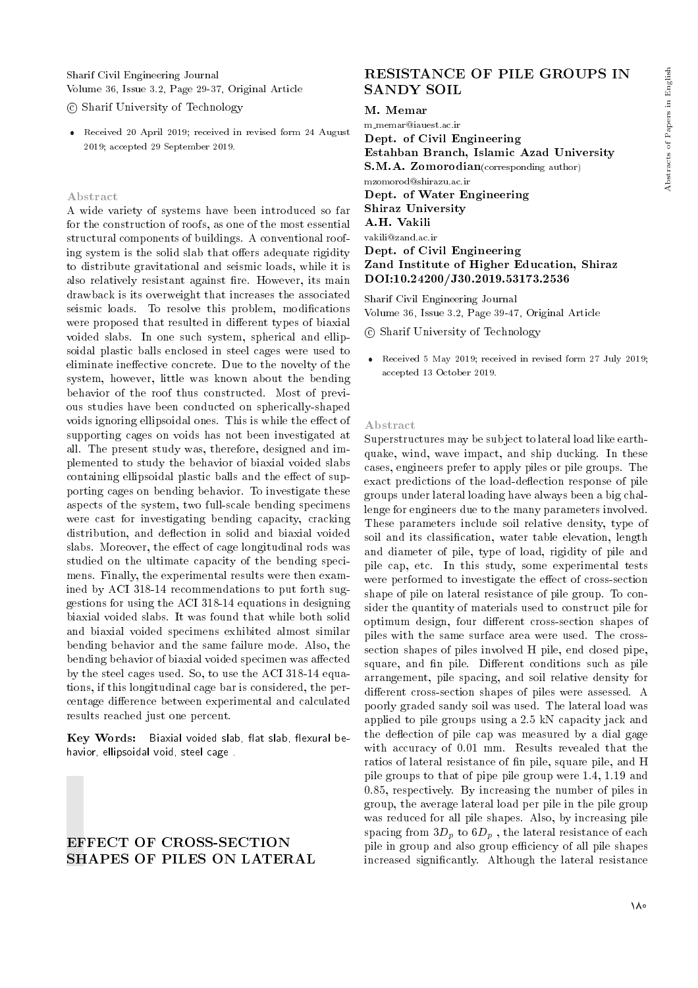Sharif Civil Engineering Journal Volume 36, Issue 3.2, Page 29-37, Original Article

c Sharif University of Technology

 Received 20 April 2019; received in revised form 24 August 2019; accepted 29 September 2019.

#### Abstract

A wide variety of systems have been introduced so far for the construction of roofs, as one of the most essential structural components of buildings. A conventional roofing system is the solid slab that offers adequate rigidity to distribute gravitational and seismic loads, while it is also relatively resistant against fire. However, its main drawback is its overweight that increases the associated seismic loads. To resolve this problem, modifications were proposed that resulted in different types of biaxial voided slabs. In one such system, spherical and ellipsoidal plastic balls enclosed in steel cages were used to eliminate ineffective concrete. Due to the novelty of the system, however, little was known about the bending behavior of the roof thus constructed. Most of previous studies have been conducted on spherically-shaped voids ignoring ellipsoidal ones. This is while the effect of supporting cages on voids has not been investigated at all. The present study was, therefore, designed and implemented to study the behavior of biaxial voided slabs containing ellipsoidal plastic balls and the effect of supporting cages on bending behavior. To investigate these aspects of the system, two full-scale bending specimens were cast for investigating bending capacity, cracking distribution, and deflection in solid and biaxial voided slabs. Moreover, the effect of cage longitudinal rods was studied on the ultimate capacity of the bending specimens. Finally, the experimental results were then examined by ACI 318-14 recommendations to put forth suggestions for using the ACI 318-14 equations in designing biaxial voided slabs. It was found that while both solid and biaxial voided specimens exhibited almost similar bending behavior and the same failure mode. Also, the bending behavior of biaxial voided specimen was affected by the steel cages used. So, to use the ACI 318-14 equations, if this longitudinal cage bar is considered, the percentage difference between experimental and calculated results reached just one percent.

Key Words: Biaxial voided slab, flat slab, flexural behavior, ellipsoidal void, steel cage .

# EFFECT OF CROSS-SECTION SHAPES OF PILES ON LATERAL

## RESISTANCE OF PILE GROUPS IN SANDY SOIL

## M. Memar

m memar@iauest.ac.ir Dept. of Civil Engineering Estahban Branch, Islamic Azad University S.M.A. Zomorodian(corresponding author) mzomorod@shirazu.ac.ir Dept. of Water Engineering Shiraz University A.H. Vakili vakili@zand.ac.ir Dept. of Civil Engineering Zand Institute of Higher Education, Shiraz DOI:10.24200/J30.2019.53173.2536

Sharif Civil Engineering Journal Volume 36, Issue 3.2, Page 39-47, Original Article

c Sharif University of Technology

 Received 5 May 2019; received in revised form 27 July 2019; accepted 13 October 2019.

#### Abstract

Superstructures may be subject to lateral load like earthquake, wind, wave impact, and ship ducking. In these cases, engineers prefer to apply piles or pile groups. The exact predictions of the load-deflection response of pile groups under lateral loading have always been a big challenge for engineers due to the many parameters involved. These parameters include soil relative density, type of soil and its classification, water table elevation, length and diameter of pile, type of load, rigidity of pile and pile cap, etc. In this study, some experimental tests were performed to investigate the effect of cross-section shape of pile on lateral resistance of pile group. To consider the quantity of materials used to construct pile for optimum design, four different cross-section shapes of piles with the same surface area were used. The crosssection shapes of piles involved H pile, end closed pipe, square, and fin pile. Different conditions such as pile arrangement, pile spacing, and soil relative density for different cross-section shapes of piles were assessed. A poorly graded sandy soil was used. The lateral load was applied to pile groups using a 2.5 kN capacity jack and the deflection of pile cap was measured by a dial gage with accuracy of 0.01 mm. Results revealed that the ratios of lateral resistance of n pile, square pile, and H pile groups to that of pipe pile group were 1.4, 1.19 and 0.85, respectively. By increasing the number of piles in group, the average lateral load per pile in the pile group was reduced for all pile shapes. Also, by increasing pile spacing from  $3D_n$  to  $6D_n$ , the lateral resistance of each pile in group and also group efficiency of all pile shapes increased signicantly. Although the lateral resistance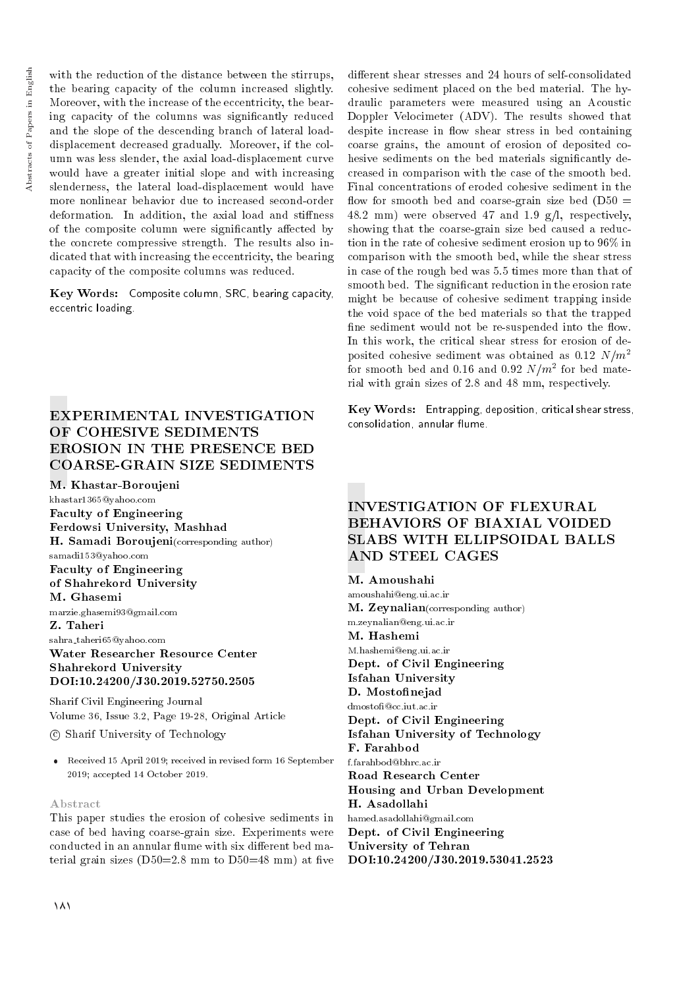with the reduction of the distance between the stirrups. the bearing capacity of the column increased slightly. Moreover, with the increase of the eccentricity, the bearing capacity of the columns was signicantly reduced and the slope of the descending branch of lateral loaddisplacement decreased gradually. Moreover, if the column was less slender, the axial load-displacement curve would have a greater initial slope and with increasing slenderness, the lateral load-displacement would have more nonlinear behavior due to increased second-order deformation. In addition, the axial load and stiffness of the composite column were significantly affected by the concrete compressive strength. The results also indicated that with increasing the eccentricity, the bearing capacity of the composite columns was reduced.

Key Words: Composite column, SRC, bearing capacity, eccentric loading.

# EXPERIMENTAL INVESTIGATION OF COHESIVE SEDIMENTS EROSION IN THE PRESENCE BED COARSE-GRAIN SIZE SEDIMENTS

M. Khastar-Boroujeni

khastar1365@yahoo.com Faculty of Engineering Ferdowsi University, Mashhad H. Samadi Boroujeni(corresponding author) samadi153@yahoo.com Faculty of Engineering of Shahrekord University M. Ghasemi marzie.ghasemi93@gmail.com Z. Taheri

sahra taheri65@yahoo.com

Water Researcher Resource Center Shahrekord University DOI:10.24200/J30.2019.52750.2505

Sharif Civil Engineering Journal Volume 36, Issue 3.2, Page 19-28, Original Article

c Sharif University of Technology

 Received 15 April 2019; received in revised form 16 September 2019; accepted 14 October 2019.

## Abstract

This paper studies the erosion of cohesive sediments in case of bed having coarse-grain size. Experiments were conducted in an annular flume with six different bed material grain sizes  $(D50=2.8 \text{ mm})$  to  $D50=48 \text{ mm}$ ) at five different shear stresses and 24 hours of self-consolidated cohesive sediment placed on the bed material. The hydraulic parameters were measured using an Acoustic Doppler Velocimeter (ADV). The results showed that despite increase in flow shear stress in bed containing coarse grains, the amount of erosion of deposited cohesive sediments on the bed materials significantly decreased in comparison with the case of the smooth bed. Final concentrations of eroded cohesive sediment in the flow for smooth bed and coarse-grain size bed  $(D50 =$ 48.2 mm) were observed 47 and 1.9 g/l, respectively, showing that the coarse-grain size bed caused a reduction in the rate of cohesive sediment erosion up to 96% in comparison with the smooth bed, while the shear stress in case of the rough bed was 5.5 times more than that of smooth bed. The signicant reduction in the erosion rate might be because of cohesive sediment trapping inside the void space of the bed materials so that the trapped fine sediment would not be re-suspended into the flow. In this work, the critical shear stress for erosion of deposited cohesive sediment was obtained as 0.12  $N/m^2$ for smooth bed and 0.16 and 0.92  $N/m^2$  for bed material with grain sizes of 2.8 and 48 mm, respectively.

Key Words: Entrapping, deposition, critical shear stress, consolidation, annular flume.

# INVESTIGATION OF FLEXURAL BEHAVIORS OF BIAXIAL VOIDED SLABS WITH ELLIPSOIDAL BALLS AND STEEL CAGES

## M. Amoushahi

F. Farahbod f.farahbod@bhrc.ac.ir Road Research Center Housing and Urban Development H. Asadollahi hamed.asadollahi@gmail.com Dept. of Civil Engineering University of Tehran DOI:10.24200/J30.2019.53041.2523 amoushahi@eng.ui.ac.ir M. Zeynalian(corresponding author) m.zeynalian@eng.ui.ac.ir M. Hashemi M.hashemi@eng.ui.ac.ir Dept. of Civil Engineering Isfahan University D. Mostofinejad dmosto@cc.iut.ac.ir Dept. of Civil Engineering Isfahan University of Technology